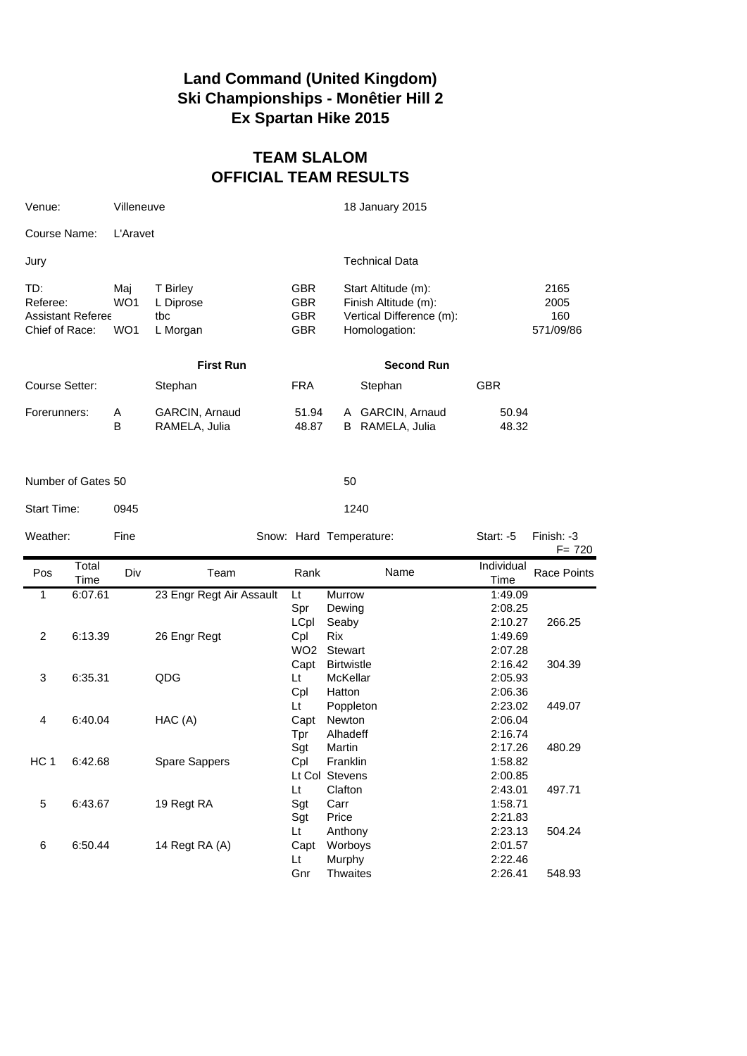## **Land Command (United Kingdom) Ski Championships - Monêtier Hill 2 Ex Spartan Hike 2015**

## **TEAM SLALOM OFFICIAL TEAM RESULTS**

| Venue:                            |                          | Villeneuve        |                                          |                                                      | 18 January 2015                                                                          |                                          |                                  |  |  |  |  |
|-----------------------------------|--------------------------|-------------------|------------------------------------------|------------------------------------------------------|------------------------------------------------------------------------------------------|------------------------------------------|----------------------------------|--|--|--|--|
| Course Name:                      |                          | L'Aravet          |                                          |                                                      |                                                                                          |                                          |                                  |  |  |  |  |
| Jury                              |                          |                   |                                          |                                                      | <b>Technical Data</b>                                                                    |                                          |                                  |  |  |  |  |
| TD:<br>Referee:<br>Chief of Race: | <b>Assistant Referee</b> | Maj<br>WO1<br>WO1 | T Birley<br>L Diprose<br>tbc<br>L Morgan | <b>GBR</b><br><b>GBR</b><br><b>GBR</b><br><b>GBR</b> | Start Altitude (m):<br>Finish Altitude (m):<br>Vertical Difference (m):<br>Homologation: |                                          | 2165<br>2005<br>160<br>571/09/86 |  |  |  |  |
|                                   |                          |                   | <b>First Run</b>                         |                                                      | <b>Second Run</b>                                                                        |                                          |                                  |  |  |  |  |
| Course Setter:                    |                          |                   | Stephan                                  | <b>FRA</b>                                           | Stephan                                                                                  | <b>GBR</b>                               |                                  |  |  |  |  |
| Forerunners:                      |                          | Α<br>B            | GARCIN, Arnaud<br>RAMELA, Julia          | 51.94<br>48.87                                       | GARCIN, Arnaud<br>A<br>B<br>RAMELA, Julia                                                | 50.94<br>48.32                           |                                  |  |  |  |  |
| Number of Gates 50                |                          |                   |                                          |                                                      | 50                                                                                       |                                          |                                  |  |  |  |  |
| Start Time:                       |                          | 0945              |                                          |                                                      | 1240                                                                                     |                                          |                                  |  |  |  |  |
| Weather:                          |                          | Fine              |                                          |                                                      | Snow: Hard Temperature:                                                                  | Start: -5                                | Finish: -3<br>$F = 720$          |  |  |  |  |
| Pos                               | Total<br>Time            | Div               | Team                                     | Rank                                                 | Name                                                                                     | Individual<br>Time                       | <b>Race Points</b>               |  |  |  |  |
| 1                                 | 6:07.61                  |                   | 23 Engr Regt Air Assault                 | Lt                                                   | Murrow                                                                                   | 1:49.09<br>2:08.25                       |                                  |  |  |  |  |
| 2                                 |                          |                   |                                          | Spr                                                  | Dewing                                                                                   |                                          |                                  |  |  |  |  |
|                                   | 6:13.39                  |                   | 26 Engr Regt                             | LCpl<br>Cpl<br>WO <sub>2</sub>                       | Seaby<br><b>Rix</b><br><b>Stewart</b>                                                    | 2:10.27<br>1:49.69<br>2:07.28            | 266.25                           |  |  |  |  |
| 3                                 | 6:35.31                  |                   | QDG                                      | Capt<br>Lt<br>Cpl                                    | <b>Birtwistle</b><br>McKellar<br>Hatton                                                  | 2:16.42<br>2:05.93<br>2:06.36            | 304.39                           |  |  |  |  |
| 4                                 | 6:40.04                  |                   | HAC (A)                                  | Lt<br>Capt<br>Tpr                                    | Poppleton<br>Newton<br>Alhadeff                                                          | 2:23.02<br>2:06.04<br>2:16.74            | 449.07                           |  |  |  |  |
| HC 1                              | 6:42.68                  |                   | Spare Sappers                            | Sgt<br>Cpl                                           | Martin<br>Franklin<br>Lt Col Stevens                                                     | 2:17.26<br>1:58.82<br>2:00.85            | 480.29                           |  |  |  |  |
| 5                                 | 6:43.67                  |                   | 19 Regt RA                               | Lt<br>Sgt<br>Sgt                                     | Clafton<br>Carr<br>Price                                                                 | 2:43.01<br>1:58.71<br>2:21.83            | 497.71                           |  |  |  |  |
| 6                                 | 6:50.44                  |                   | 14 Regt RA (A)                           | Lt<br>Capt<br>Lt<br>Gnr                              | Anthony<br>Worboys<br>Murphy<br><b>Thwaites</b>                                          | 2:23.13<br>2:01.57<br>2:22.46<br>2:26.41 | 504.24<br>548.93                 |  |  |  |  |